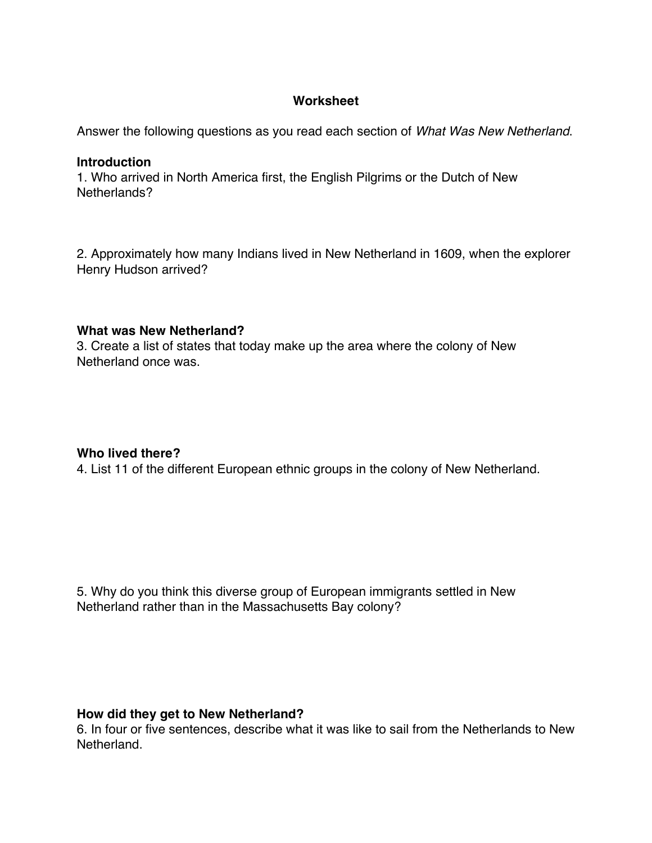# **Worksheet**

Answer the following questions as you read each section of *What Was New Netherland*.

#### **Introduction**

1. Who arrived in North America first, the English Pilgrims or the Dutch of New Netherlands?

2. Approximately how many Indians lived in New Netherland in 1609, when the explorer Henry Hudson arrived?

### **What was New Netherland?**

3. Create a list of states that today make up the area where the colony of New Netherland once was.

### **Who lived there?**

4. List 11 of the different European ethnic groups in the colony of New Netherland.

5. Why do you think this diverse group of European immigrants settled in New Netherland rather than in the Massachusetts Bay colony?

### **How did they get to New Netherland?**

6. In four or five sentences, describe what it was like to sail from the Netherlands to New Netherland.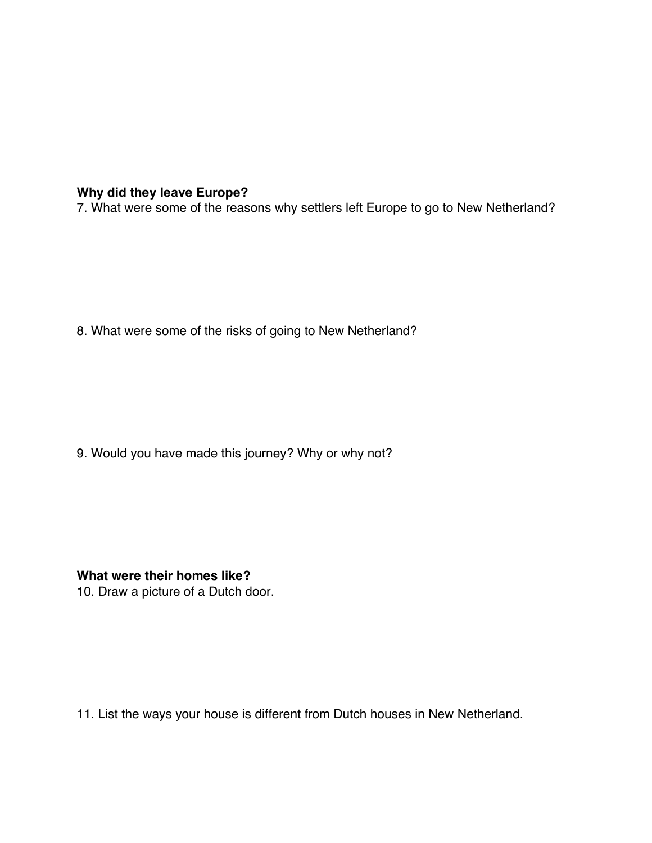# **Why did they leave Europe?**

7. What were some of the reasons why settlers left Europe to go to New Netherland?

8. What were some of the risks of going to New Netherland?

9. Would you have made this journey? Why or why not?

**What were their homes like?**

10. Draw a picture of a Dutch door.

11. List the ways your house is different from Dutch houses in New Netherland.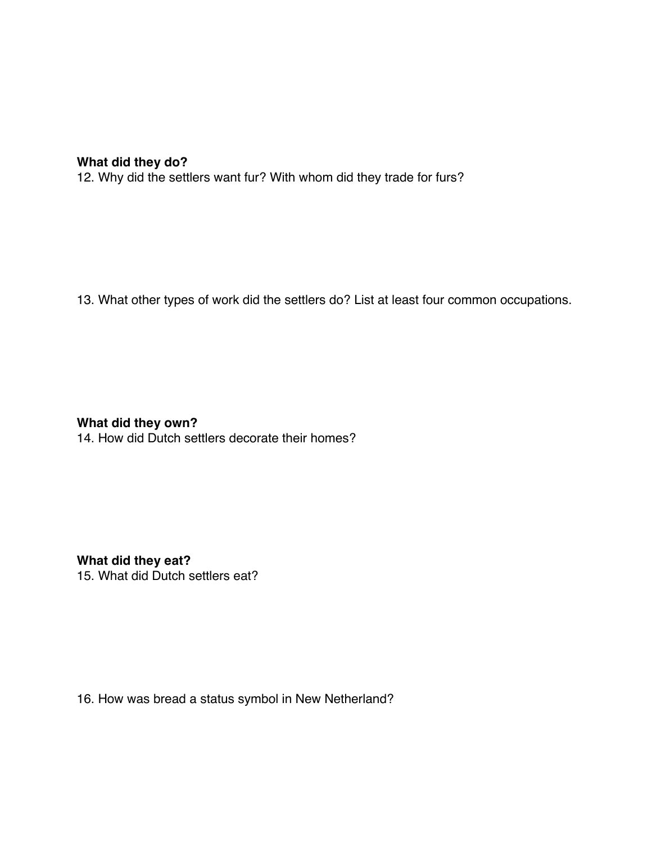# **What did they do?**

12. Why did the settlers want fur? With whom did they trade for furs?

13. What other types of work did the settlers do? List at least four common occupations.

**What did they own?**

14. How did Dutch settlers decorate their homes?

**What did they eat?** 15. What did Dutch settlers eat?

16. How was bread a status symbol in New Netherland?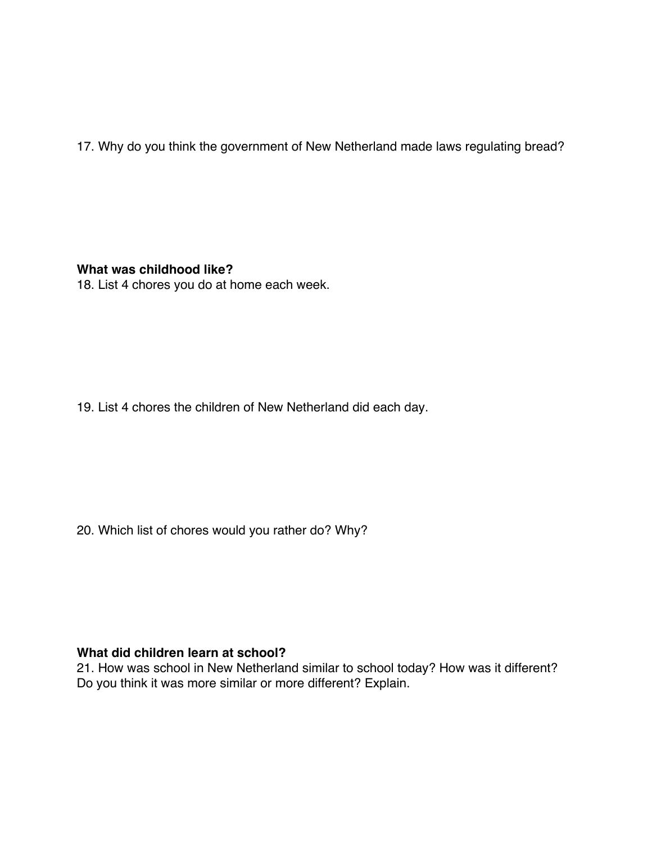17. Why do you think the government of New Netherland made laws regulating bread?

**What was childhood like?**

18. List 4 chores you do at home each week.

19. List 4 chores the children of New Netherland did each day.

20. Which list of chores would you rather do? Why?

# **What did children learn at school?**

21. How was school in New Netherland similar to school today? How was it different? Do you think it was more similar or more different? Explain.